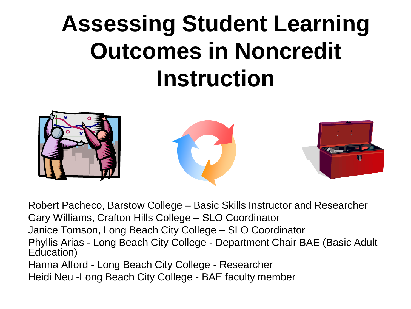# **Assessing Student Learning Outcomes in Noncredit Instruction**



Robert Pacheco, Barstow College – Basic Skills Instructor and Researcher Gary Williams, Crafton Hills College – SLO Coordinator Janice Tomson, Long Beach City College – SLO Coordinator Phyllis Arias - Long Beach City College - Department Chair BAE (Basic Adult Education) Hanna Alford - Long Beach City College - Researcher Heidi Neu -Long Beach City College - BAE faculty member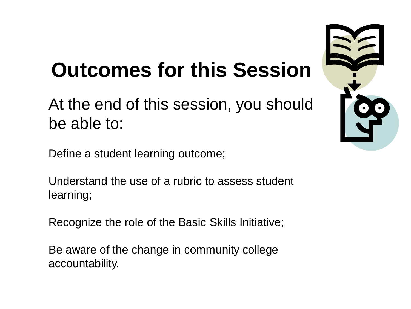## **Outcomes for this Session**

### At the end of this session, you should be able to:

Define a student learning outcome;

Understand the use of a rubric to assess student learning;

Recognize the role of the Basic Skills Initiative;

Be aware of the change in community college accountability.

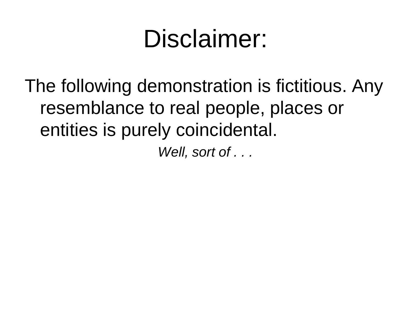# Disclaimer:

The following demonstration is fictitious. Any resemblance to real people, places or entities is purely coincidental.

*Well, sort of . . .*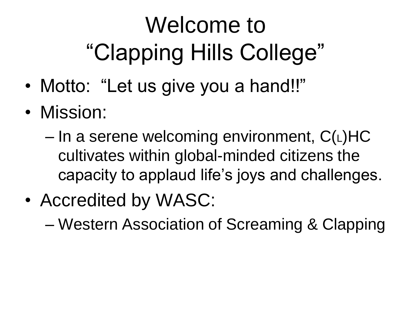# Welcome to "Clapping Hills College"

- Motto: "Let us give you a hand!!"
- Mission:

 $-$  In a serene welcoming environment,  $C(L)HC$ cultivates within global-minded citizens the capacity to applaud life's joys and challenges.

• Accredited by WASC:

– Western Association of Screaming & Clapping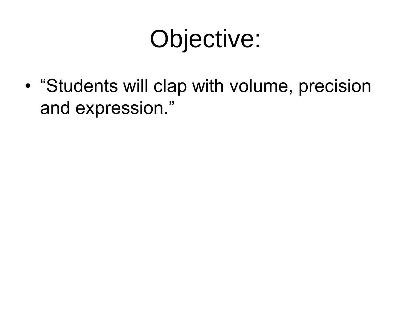# Objective:

• "Students will clap with volume, precision and expression."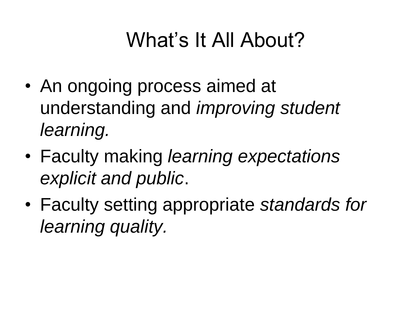## What's It All About?

- An ongoing process aimed at understanding and *improving student learning.*
- Faculty making *learning expectations explicit and public*.
- Faculty setting appropriate *standards for learning quality.*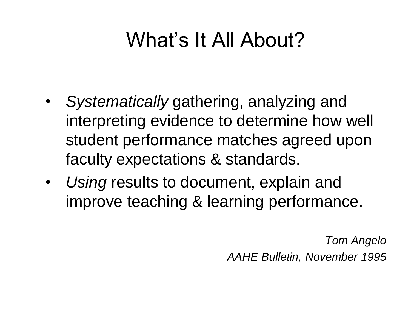## What's It All About?

- *Systematically* gathering, analyzing and interpreting evidence to determine how well student performance matches agreed upon faculty expectations & standards.
- *Using* results to document, explain and improve teaching & learning performance.

*Tom Angelo AAHE Bulletin, November 1995*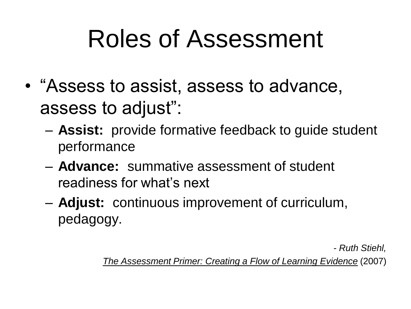# Roles of Assessment

- "Assess to assist, assess to advance, assess to adjust":
	- **Assist:** provide formative feedback to guide student performance
	- **Advance:** summative assessment of student readiness for what's next
	- **Adjust:** continuous improvement of curriculum, pedagogy.

*- Ruth Stiehl,* 

*The Assessment Primer: Creating a Flow of Learning Evidence* (2007)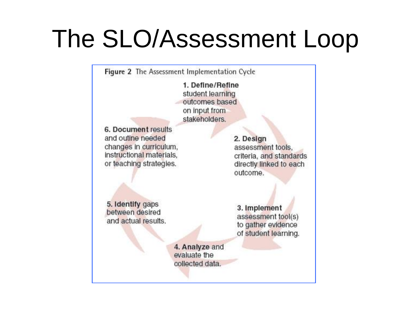# The SLO/Assessment Loop

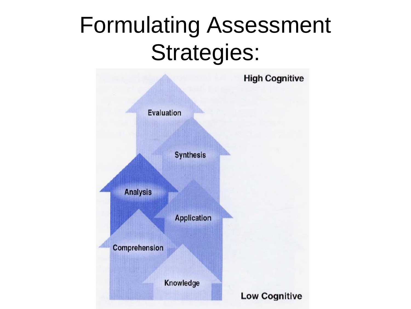# Formulating Assessment Strategies:

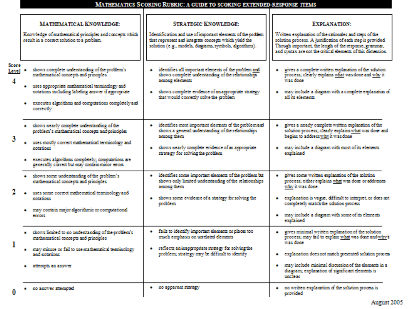### MATHEMATICS SCORING RUBRIC: A GUIDE TO SCORING EXTENDED-RESPONSE ITEMS

|                                          | <b>MATHEMATICAL KNOWLEDGE:</b>                                                                                                          | <b>STRATEGIC KNOWLEDGE:</b>                                                                                                                                                       | <b>EXPLANATION:</b>                                                                                                                                                                                                                            |
|------------------------------------------|-----------------------------------------------------------------------------------------------------------------------------------------|-----------------------------------------------------------------------------------------------------------------------------------------------------------------------------------|------------------------------------------------------------------------------------------------------------------------------------------------------------------------------------------------------------------------------------------------|
|                                          | Knowledge of mathematical principles and concepts which<br>result in a correct solution to a croblem.                                   | Identification and use of important elements of the profilem.<br>that represent and integrate concepts which vield the<br>solution (e.g., models, diagrams, symbols, algorithms). | Written explanation of the rationales and steps of the<br>solution process. A justification of each step is provided.<br>Though important, the length of the response, grammar,<br>and syntax are not the critical elements of this dimension. |
| Score<br>Level *<br>$\blacktriangleleft$ | shows complete understanding of the problem's<br>mathematical concepts and principles.<br>uses appropriate mathematical terminology and | + identifies all innoctant elements of the cooldem and<br>shows complete understanding of the relationships<br>among elements                                                     | gives a complete written explanation of the solution<br>process; clearly explains what was done and why it.<br>strate down.                                                                                                                    |
|                                          | notations including labeling answer if accromists<br>· executes algorithms and computations completely and<br>correctly                 | + shows complete evidence of an appropriate strategy<br>that would correctly solve the croblem                                                                                    | · may include a diagram with a complete explanation of<br>all its cleaneats.                                                                                                                                                                   |
|                                          | · shows nearly complete understanding of the<br>problem's mathematical concepts and principles                                          | + identifies most important elements of the problem and<br>shows a general understanding of the relationships<br>among them.                                                      | gives a nearly complete written explanation of the<br>solution process: cleady explains what was done and<br>begins to address why it was done-                                                                                                |
|                                          | . uses mostly correct mathematical terminology and<br><b><i><u>RICHARD BOARD</u></i></b>                                                | · shows nearly complete evidence of an aggregative<br>strategy for solving the problem.                                                                                           | · may include a diagram with most of its elements<br>explained                                                                                                                                                                                 |
|                                          | · executes algorithms completely; computations are<br>generally correct but may contain minor eross                                     |                                                                                                                                                                                   |                                                                                                                                                                                                                                                |
|                                          | · shows some understanding of the problem's<br>mathematical concepts and grinciples                                                     | identifies some important elements of the problem bat<br><b>ALC:</b><br>shows only limited understanding of the relationships<br>among them.                                      | gives some written exclanation of the solution.<br>process; either explains what was done or addresses<br>why it was done.                                                                                                                     |
|                                          | + uses some correct mathematical terminology and<br><b>REMARKANE</b>                                                                    | · shows some evidence of a strategy for solving the<br>crobbem.                                                                                                                   | explanation is vague, difficult to interpret, or does not<br>completely match the sclution process.                                                                                                                                            |
|                                          | · may contain major algorithmic or computational<br>emors                                                                               |                                                                                                                                                                                   | · may include a diagram with some of its elements<br>exclaimed                                                                                                                                                                                 |
|                                          | · shows limited to no understanding of the problem's<br>mathematical concepts and grinciples.                                           | + fails to identify innoctant elements or olaces too<br>much emphasis on unrelated elements                                                                                       | · gives minimal written exclanation of the solution<br>process; may fail to explain what was done and why it<br>sease down.                                                                                                                    |
|                                          | · may misuse or fail to use mathematical terminology<br>and metations:                                                                  | + reflects an inappropriate strategy for solving the<br>problem; strategy may be difficult to identify                                                                            | · explanation does not match presented solution process                                                                                                                                                                                        |
|                                          | · affecteds an answer                                                                                                                   |                                                                                                                                                                                   | · may include minimal discussion of the dements in a<br>diagram; explanation of significant elements is<br>machose.                                                                                                                            |
|                                          | · no answer attempted                                                                                                                   | + no apparent strategy                                                                                                                                                            | · so written explanation of the solution process is<br>crovided.                                                                                                                                                                               |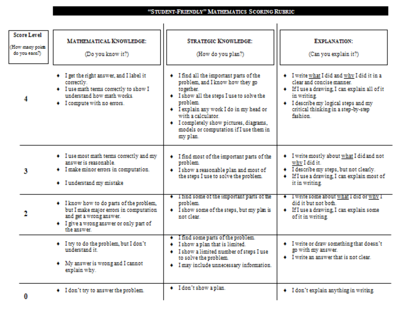#### "STUDENT-FRIENDLY" MATHEMATICS SCORING RUBRIC

| <b>Score Level</b><br>(How many point<br>do you earn'l) | <b>MATHEMATICAL KNOWLEDGE:</b><br>(Do you know it?)                                                                                                                      | <b>STRATEGIC KNOWLEDGE:</b><br>(How do you plan?)                                                                                                                                                                                                                                                                  | <b>EXPLANATION:</b><br>(Can you explain it?)                                                                                                                                                                                      |
|---------------------------------------------------------|--------------------------------------------------------------------------------------------------------------------------------------------------------------------------|--------------------------------------------------------------------------------------------------------------------------------------------------------------------------------------------------------------------------------------------------------------------------------------------------------------------|-----------------------------------------------------------------------------------------------------------------------------------------------------------------------------------------------------------------------------------|
| 4                                                       | + I get the right answer, and I label it<br>correctly.<br>+ I use math terms correctly to show I<br>understand how math works.<br>+ I compute with no errors.            | + I find all the important parts of the<br>problem, and I know how they go<br>together.<br>+ I show all the steps I use to solve the<br>problem.<br>+ I explain any work I do in my head or<br>with a calculator.<br>+ I completely show pictures, diagrams,<br>models or computation if I use them in<br>my plan. | + I write what I did and why I did it in a<br>clear and concise manner.<br>+ If I use a drawing, I can explain all of it<br>in writing.<br>+ I describe my logical steps and my<br>critical thinking in a step-by-step<br>fashion |
| 3                                                       | + I use most math terms correctly and my<br>answer is reasonable.<br>+ I make minor errors in computation.<br>+ I understand my mistake                                  | + I find most of the important parts of the<br>problem.<br>+ I show a reasonable plan and most of<br>the steps I use to solve the problem.                                                                                                                                                                         | + I write mostly about what I did and not<br>why I did it.<br>+ I describe my steps, but not clearly.<br>+ If I use a drawing, I can explain most of<br>it in writing.                                                            |
| 2                                                       | + I know how to do parts of the problem,<br>but I make major errors in computation.<br>and get a wrong answer.<br>+ I give a wrong answer or only part of<br>the answer. | + 1 tind some of the important parts of the<br>problem.<br>+ I show some of the steps, but my plan is<br>not clear.                                                                                                                                                                                                | + I write some about what I did or why I<br>did it but not both.<br>+ If I use a drawing, I can explain some<br>of it in writing.                                                                                                 |
|                                                         | + I try to do the problem, but I don't<br>understand it.<br>+ My answer is wrong and I cannot<br>explain why.                                                            | + I find some parts of the problem.<br>+ I show a plan that is limited.<br>+ I show a limited number of steps I use<br>to solve the problem.<br>+ I may include unnecessary information.                                                                                                                           | + I write or draw something that doesn't<br>go with my answer.<br>$\bullet$ I write an answer that is not clear.                                                                                                                  |
| 0                                                       | + I don't try to answer the problem.                                                                                                                                     | + I don't show a plan.                                                                                                                                                                                                                                                                                             | + I don't explain anything in writing.                                                                                                                                                                                            |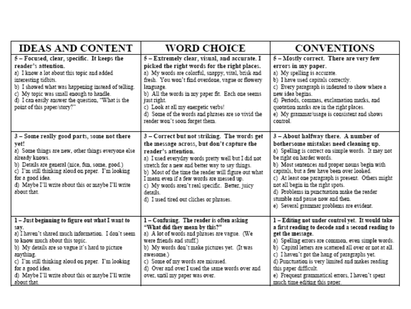| <b>IDEAS AND CONTENT</b>                                                                                                                                                                                                                                                                                                                                    | <b>WORD CHOICE</b>                                                                                                                                                                                                                                                                                                                                                                                                                     | <b>CONVENTIONS</b>                                                                                                                                                                                                                                                                                                                                                                                                                                                                      |
|-------------------------------------------------------------------------------------------------------------------------------------------------------------------------------------------------------------------------------------------------------------------------------------------------------------------------------------------------------------|----------------------------------------------------------------------------------------------------------------------------------------------------------------------------------------------------------------------------------------------------------------------------------------------------------------------------------------------------------------------------------------------------------------------------------------|-----------------------------------------------------------------------------------------------------------------------------------------------------------------------------------------------------------------------------------------------------------------------------------------------------------------------------------------------------------------------------------------------------------------------------------------------------------------------------------------|
| 5 - Focused, clear, specific. It keeps the<br>reader's attention.<br>a) I know a lot about this topic and added<br>interesting tidbits.<br>b) I showed what was happening instead of telling.<br>c) My topic was small enough to handle.<br>d) I can easily answer the question, "What is the<br>point of this paper/story?""                               | 5 - Extremely clear, visual, and accurate. I<br>picked the right words for the right places.<br>a) My words are colorful, snappy, vital, brisk and<br>fresh. You won't find overdone, vague or flowery<br>language.<br>b) All the words in my paper fit. Each one seems<br>just right.<br>c) Look at all my energetic verbs!<br>d) Some of the words and phrases are so vivid the<br>reader won't soon forget them.                    | 5 - Mostly correct. There are very few<br>errors in my paper.<br>a) My spelling is accurate.<br>b) I have used capitals correctly.<br>c) Every paragraph is indented to show where a<br>new idea begins.<br>d) Periods, commas, exclamation marks, and<br>quotation marks are in the right places.<br>e) My grammar/usage is consistent and shows<br>control.                                                                                                                           |
| 3 - Some really good parts, some not there<br>yet!<br>a) Some things are new, other things everyone else<br>already knows.<br>b) Details are general (nice, fun, some, good.)<br>c) I'm still thinking aloud on paper. I'm looking<br>for a good idea.<br>d) Maybe I'll write about this or maybe I'll write<br>about that.                                 | 3 - Correct but not striking. The words get<br>the message across, but don't capture the<br>reader's attention.<br>a) I used everyday words pretty well but I did not<br>stretch for a new and better way to say things.<br>b) Most of the time the reader will figure out what<br>I mean even if a few words are messed up.<br>c) My words aren't real specific. Better, juicy<br>details.<br>d) I used tired out cliches or phrases. | 3 - About halfway there. A number of<br>bothersome mistakes need cleaning up.<br>a) Spelling is correct on simple words. It may not<br>be right on harder words.<br>b) Most sentences and proper nouns begin with<br>capitals, but a few have been over looked.<br>c) At least one paragraph is present. Others might<br>not all begin in the right spots.<br>d) Problems in punctuation make the reader<br>stumble and pause now and then.<br>e) Several grammar problems are evident. |
| 1-Just beginning to figure out what I want to<br>SHV.<br>a) I haven't shared much information. I don't seem<br>to know much about this topic.<br>b) My details are so vague it's hard to picture<br>anything.<br>c) I'm still thinking aloud on paper. I'm looking<br>for a good idea.<br>d) Maybe I'll write about this or maybe I'll write<br>about that. | 1-Confusing. The reader is often asking<br>"What did they mean by this?"<br>a) A lot of words and phrases are vague. (We<br>were friends and stuff.)<br>b) My words don't make pictures yet. (It was<br>awesome.)<br>c) Some of my words are misused.<br>d) Over and over I used the same words over and<br>over, until my paper was over.                                                                                             | 1-Editing not under control yet. It would take<br>a first reading to decode and a second reading to<br>get the message.<br>a) Spelling errors are common, even simple words.<br>b) Capital letters are scattered all over or not at all.<br>c) I haven't got the hang of paragraphs yet.<br>d) Punctuation is very limited and makes reading<br>this paper difficult.<br>e) Frequent grammatical errors, I haven't spent<br>much time editing this paper.                               |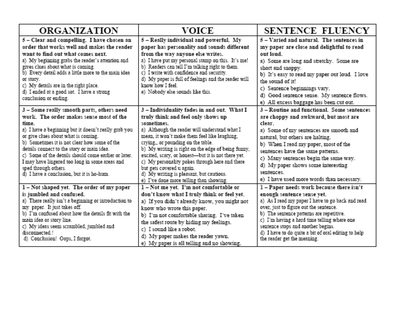| <b>ORGANIZATION</b>                                                                                                                                                                                                                                                                                                                                                                                                                                                      | VOICE                                                                                                                                                                                                                                                                                                                                                                                                                                                                                                              | SENTENCE FLUENCY                                                                                                                                                                                                                                                                                                                                                                                 |
|--------------------------------------------------------------------------------------------------------------------------------------------------------------------------------------------------------------------------------------------------------------------------------------------------------------------------------------------------------------------------------------------------------------------------------------------------------------------------|--------------------------------------------------------------------------------------------------------------------------------------------------------------------------------------------------------------------------------------------------------------------------------------------------------------------------------------------------------------------------------------------------------------------------------------------------------------------------------------------------------------------|--------------------------------------------------------------------------------------------------------------------------------------------------------------------------------------------------------------------------------------------------------------------------------------------------------------------------------------------------------------------------------------------------|
| 5 - Clear and compelling. I have chosen an<br>order that works well and makes the reader<br>want to find out what comes next.<br>a) My beginning grabs the reader's attention and<br>gives clues about what is coming.<br>b) Every detail adds a little more to the main idea<br>or story.<br>c) My details are in the right place.<br>d) I ended at a good sot. I have a strong<br>conclusion or ending.                                                                | 5 - Really individual and powerful. My<br>paper has personality and sounds different<br>from the way anyone else writes.<br>a) I have put my personal stamp on this. It's me!<br>b) Readers can tell I'm talking right to them.<br>c) I write with confidence and security.<br>d) My paper is full of feelings and the reader will<br>know how I feel.<br>e) Nobody else sounds like this.                                                                                                                         | 5 – Varied and natural. The sentences in<br>my paper are close and delightful to read<br>out loud<br>a) Some are long and stretchy. Some are<br>short and snappy.<br>b) It's easy to read my paper out loud. I love<br>the sound of it!<br>c) Sentence beginnings vary.<br>d) Good sentence sense. My sentence flows.<br>e) All excess baggage has been cut out.                                 |
| 3 - Some really smooth parts, others need<br>work. The order makes sense most of the<br>time<br>a) I have a beginning but it doesn't really grab you<br>or give clues about what is coming.<br>b) Sometimes it is not clear how some of the<br>details connect to the story or main idea.<br>c) Some of the details should come earlier or later.<br>I may have lingered too long in some areas and<br>sped through others.<br>d) I have a conclusion, but it is ho-hum. | 3-Individuality fades in and out. What I<br>truly think and feel only shows up<br>sometimes<br>a) Although the reader will understand what I<br>mean, it won't make them feel like laughing,<br>crying or pounding on the table.<br>b) My writing is right on the edge of being funny,<br>excited, scary, or honest-but it is not there yet.<br>c) My personality pokes through here and there<br>but gets covered u again.<br>d) My writing is pleasant, but cautious.<br>e) I've done more telling than showing. | 3 - Routine and functional. Some sentences<br>are choppy and awkward, but most are<br>clear.<br>a) Some of my sentences are smooth and<br>natural, but others are halting.<br>b) When I read my paper, most of the<br>sentences have the same patterns.<br>c) Many sentences begin the same way.<br>d) My paper shows some interesting<br>sentences<br>e) I have used more words than necessary. |
| 1-Not shaped yet. The order of my paper<br>is jumbled and confused.<br>a) There really isn't a beginning or introduction to<br>my paper. It just takes off.<br>b) I'm confused about how the details fit with the<br>main idea or story line.<br>c) My ideas seem scrambled, jumbled and<br>disconnected.1<br>d) Conclusion! Oops, I forgot.                                                                                                                             | 1-Not me yet. I'm not comfortable or<br>don't know what I truly think or feel yet.<br>a) If you didn't already know, you might not<br>know who wrote this paper.<br>b) I'm not comfortable sharing. I've taken<br>the safest route by hiding my feelings.<br>c) I sound like a robot.<br>d) My paper makes the reader yawn.<br>e) My paper is all telling and no showing.                                                                                                                                          | 1-Paper needs work because there isn't<br>enough sentence sense yet.<br>a) As I read my paper I have to go back and read<br>over, just to figure out the sentence.<br>b) The sentence patterns are repetitive.<br>c) I'm having a hard time telling where one<br>sentence stops and another begins.<br>d) I have to do quite a bit of oral editing to help<br>the reader get the meaning.        |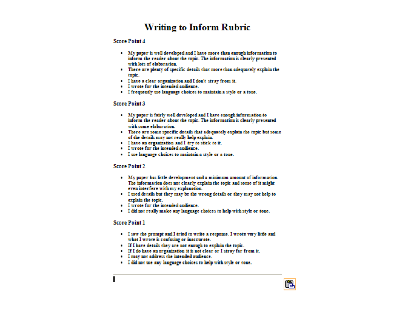### **Writing to Inform Rubric**

#### **Score Point 4**

- . My paper is well developed and I have more than enough information to inform the reader about the topic. The information is clearly presented with lots of elaboration.
- · There are plenty of specific details that more than adequately explain the topác.
- · I have a clear organization and I don't stray from it.
- · I wrote for the intended audience.
- · I frequently use language choices to maintain a style or a tone.

#### **Score Point 3**

- · My paper is fairly well developed and I have enough information to inform the reader about the topic. The information is clearly presented with some elaboration.
- · There are some specific details that adequately explain the topic but some of the details may not really help explain.
- · I have an organization and I try to stick to it.
- · I wrote for the intended audience.
- · I use language choices to maintain a style or a tone.

#### **Score Point 2**

- · My paper has little development and a minimum amount of information. The information does not clearly explain the topic and some of it might even interfere with my explanation.
- · I used details but they may be the wrong details or they may not help to explain the topic.
- · I wrote for the intended audience.
- · I did not really make any language choices to help with style or tone.

#### **Score Point 1**

. I saw the prompt and I tried to write a response. I wrote very little and what I wrote is confusing or inaccurate.

C3,

- · If I have details they are not enough to explain the topic.
- · If I do have an organization it is not clear or I stray far from it.
- · I may not address the intended audience.
- · I did not use any language choices to help with style or tone.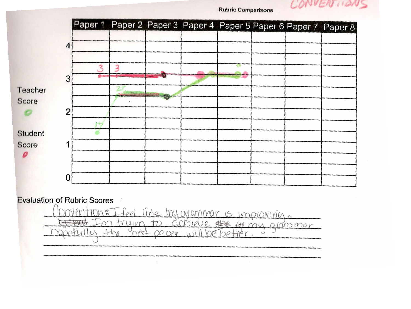CONVERTION

|                  |                |  |  |  | Paper 1 Paper 2 Paper 3 Paper 4 Paper 5 Paper 6 Paper 7 Paper 8 |
|------------------|----------------|--|--|--|-----------------------------------------------------------------|
|                  | 4              |  |  |  |                                                                 |
|                  | 3              |  |  |  |                                                                 |
| Teacher<br>Score |                |  |  |  |                                                                 |
|                  | $\overline{2}$ |  |  |  |                                                                 |
| Student          |                |  |  |  |                                                                 |
| Score            |                |  |  |  |                                                                 |
|                  | 0              |  |  |  |                                                                 |

**Rubric Comparisons** 

**Evaluation of Rubric Scores** 

like hy oranmar  $10n\epsilon$ feel  $15$ IMPOVOVINCA. Em trying  $+n$ achieve  $1001$ to my arammar DORXT  $+$  $-$  OCIDAT IN  $\cup$  $\Lambda$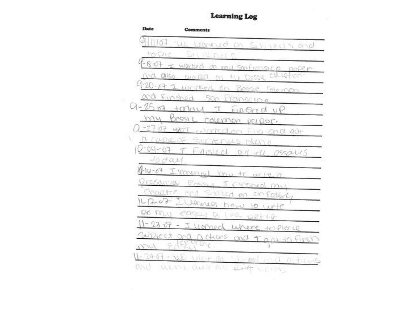### **Learning Log**

| Date           | Comments                                           |
|----------------|----------------------------------------------------|
|                | 1/07 the regimed on Schiel's and                   |
| to Ore         | <b>SILVERIA</b>                                    |
|                | 1-18-07 = worked as my sonfransico paper-          |
|                | CHILLEY<br>nod also waited on<br>七万<br>DESSNE      |
| $4 - 20 - 67$  | writted on Bessie Coleman                          |
|                | and Finghad San Franscipe                          |
| $0 - 25 - 64$  | today I FIREAR UP                                  |
| my             | Bessie rolemen paper.                              |
| $-2707$        | very worked on Ella and out                        |
| 2-04-07        | 2 CAPILLOF SUCTES<br>MAS NOMA                      |
| roday          | Enroled all the oscalls                            |
|                | P-14-07 Ikonennel Janu to write a                  |
|                | resained Preser I prisoned my                      |
|                | hapter and stated on one asset                     |
| $-7-0+$        | Cleanual how to write                              |
|                | DE MUY CASSELL OU L'EDE DELLA                      |
| $11 - 23 - 07$ | I woned where to place                             |
| SUDIECT OF     | a a churs and t a st to Firsh                      |
| 1771           | W VITING                                           |
|                | $11 - 24 - 67 - 111$ Unt or<br>in and role altimas |
|                | WENNY OUT OUT FINAL                                |

SS.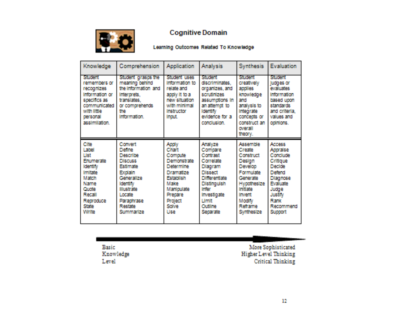

### **Cognitive Domain**

#### Learning Outcomes Related To Knowledge

| Knowledge                                                                                                                                                                         | Comprehension                                                                                                                                                                                                               | <b>Application</b>                                                                                                                                                                        | <b>Analysis</b>                                                                                                                                                                                                | <b>Synthesis</b>                                                                                                                                                                         | Evaluation                                                                                                                                                                                             |
|-----------------------------------------------------------------------------------------------------------------------------------------------------------------------------------|-----------------------------------------------------------------------------------------------------------------------------------------------------------------------------------------------------------------------------|-------------------------------------------------------------------------------------------------------------------------------------------------------------------------------------------|----------------------------------------------------------------------------------------------------------------------------------------------------------------------------------------------------------------|------------------------------------------------------------------------------------------------------------------------------------------------------------------------------------------|--------------------------------------------------------------------------------------------------------------------------------------------------------------------------------------------------------|
| Student<br>remembers or<br>recognizes<br>Information or<br>specifics as<br>communicated<br>with little<br><b>INTEGRAL</b><br>assimilation.                                        | Student grasps the<br>meaning behind<br>the intermation and<br>Information<br>translates.<br>or commentends.<br>The <b>S</b><br>Information.                                                                                | Student uses.<br>Information to<br>relate and<br>andy it to a<br><b>INVESTIGATION</b><br>with minimal<br><b>Instituctor</b><br>Inout.                                                     | <b>Stucked</b><br>discriminates.<br>organizes, and<br>sam finizes:<br>assumptions in<br>an affermet to<br><b>Identify</b><br>evidence for a<br>conclusion.                                                     | Student<br>creatively<br>are iles:<br><b>knowledge</b><br><b>SIM</b><br>analysis to<br><b>Integrate</b><br>concerts or<br>construction<br>cocerall<br>theory.                            | Student<br>ludges or<br>evaluates:<br>Information<br>based upon<br>standards.<br>and criteria.<br>values and<br>cedulare.                                                                              |
| <b>Cite</b><br><b>Lated</b><br>List<br><b>Enumerate</b><br><b>Identify</b><br><b>Ingliato</b><br>Match<br><b>Nume</b><br>Outlet<br>Recall<br>Retroduce.<br>State.<br><b>Write</b> | <b>Connect</b><br>Define<br><b>Describe</b><br><b>This cause</b><br><b>Estimate</b><br><b>Ferdaln</b><br>Concratize<br><b>Identify</b><br><b>Hitsdrate</b><br>Locate.<br><b>Paranhrase</b><br><b>Restate</b><br>Stunnmarize | Arriv<br>Chart<br>Commune.<br><b>Demonstrate</b><br>Determine<br><b>Lingmodize</b><br><b>Fistabilish</b><br>Malter<br>Manhaulate<br><b>Prenare</b><br><b>Profect</b><br>Stelling<br>Lisav | <b>Analyze</b><br>Compare<br>Confirmat<br><b>Correlate</b><br>Diagram<br><b>This spect</b><br><b>Differentiate</b><br>Distinguish<br><b>Infor</b><br>Investigate<br><b>Limit</b><br><b>CONTING</b><br>Senarate | <b>Assemble</b><br>Create<br><b>Construct</b><br>Deslan<br>Develop<br>Formulate<br>Conerate<br><b>Hypothesize</b><br><b>billing</b><br><b>Invent</b><br>Modify<br>Retrame<br>Swrithesize | <b>PECCASE</b><br><b>Arrestals.e.</b><br>Conclude<br>Critique<br><b>Declete</b><br><b>Dollard</b><br>Diagnose<br><b>Evaluate</b><br>Judae<br><b>Justily</b><br><b>Rearric</b><br>Recommend<br>Sauceart |

Basic Knowledge Level.

More Sophisticated Higher Level Thinking **Critical Thinking**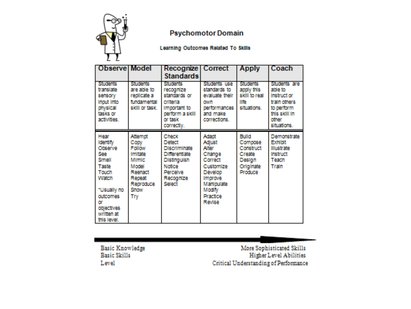

### **Psychomotor Domain**

Learning Outcomes Related To Skills

| <b>Observe Model</b>                                                                                                                                                         |                                                                                                                      | Recognize   Correct<br><b>Standards</b>                                                                                                    |                                                                                                                                                         | <b>Apply</b>                                                                            | Coach                                                                                                         |
|------------------------------------------------------------------------------------------------------------------------------------------------------------------------------|----------------------------------------------------------------------------------------------------------------------|--------------------------------------------------------------------------------------------------------------------------------------------|---------------------------------------------------------------------------------------------------------------------------------------------------------|-----------------------------------------------------------------------------------------|---------------------------------------------------------------------------------------------------------------|
| <b>Students</b><br>translate<br>sensory<br>Insufi Into<br>physical<br>tasks or<br>activities.                                                                                | <b>Students</b><br>are able to<br>replicate a<br>fundamental<br>skill or task.                                       | <b>Students</b><br>recognize<br>standards or<br>criteria<br>Important to<br>perform a skill<br>or task<br>correctly.                       | Students use<br>standards to<br>evaluate their<br>CRATH<br>performances<br>and make<br>corrections.                                                     | Students:<br>apply this<br>skill to real<br><b>Ilip</b><br>sthedlons.                   | Students are<br>able to<br>Instruction<br>train others<br>to perform<br>this sidil in<br>other<br>situations. |
| Hear<br><b>Identify</b><br>Chissenwo<br>See.<br>Street<br>Taste<br><b>Touch</b><br>Watch<br>*Usually no<br>cutcomes<br><b>CST</b><br>objectives<br>written at<br>this level. | Atternat<br>Copy<br>Fellow<br><b>Imitate</b><br>Mimic.<br>Model<br>Reenadt<br>Repeat<br>Reported too.<br>Show<br>Try | Check<br>Delect<br><b>Discriminate</b><br>Differentiate<br><b>Distinguish</b><br><b>Neiller</b><br><b>Elemantwe</b><br>Recognize<br>Select | Adam<br><b>Adiust</b><br>Alice<br>Change<br>Correct<br>Customize<br>Develop<br><b>Improve</b><br>Manindate<br>Modiy<br><b>Practice</b><br><b>Revise</b> | Fulld<br>Compose<br>Construct<br><b>Create</b><br>Design<br>Originate<br><b>Produce</b> | Demonstrate<br><b>Exhibit</b><br><b>Hustrate</b><br>Instituct<br>Teach<br>Train                               |

**Basic Knowledge Basic Skills** Level

More Sophisticated Skills **Higher Level Abilities** Critical Understanding of Performance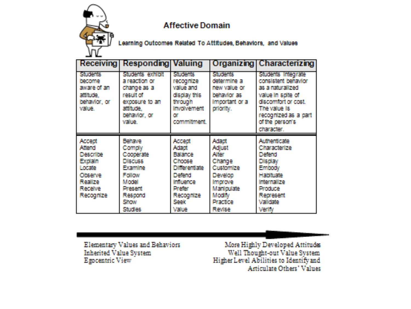

### **Affective Domain**

Learning Outcomes Related To Attitudes, Behaviors, and Values

| Receiving       | <b>Responding</b> | Valuing              | Organizing        | Characterizing       |
|-----------------|-------------------|----------------------|-------------------|----------------------|
| <b>Students</b> | Students exhibit  | <b>Students</b>      | <b>STUDENTS</b>   | Students Integrate   |
| <b>INSCORP</b>  | a reaction or     | recognize            | determine a       | consistent behavior  |
| aware of an     | change as a       | value and            | new value or      | as a naturalized     |
| attitude.       | result of         | display this         | behavior as       | value in solte of    |
| behavior, or    | exposure to an    | through              | Important or a    | discomfort or cost.  |
| value.          | attitude.         | <b>Involvement</b>   | priority.         | The value is:        |
|                 | behavior, or      | сm                   |                   | recognized as a part |
|                 | w. ma             | commitment           |                   | of the person's      |
|                 |                   |                      |                   | character.           |
|                 |                   |                      |                   |                      |
| Accent          | <b>Behave</b>     | Accept               | Adapt             | <b>Authenticate</b>  |
| Attend          | Comply            | Adapt                | <b>Adjust</b>     | Characterize         |
| <b>Describe</b> | Cooperate         | <b>Fialance</b>      | <b>Alter</b>      | Defend               |
| Explain         | <b>Discuss</b>    | Choose               | Change            | <b>Display</b>       |
| Locate          | <b>Examine</b>    | <b>Differentiate</b> | Customize         | Embody               |
| Citizense.      | Follow            | Defend               | Develop           | <b>Haliftuate</b>    |
| <b>Realize</b>  | Model             | <b>Influence</b>     | <b>Improve</b>    | Internalize          |
| <b>Receive</b>  | <b>Present</b>    | <b>Dreibr</b>        | <b>Manfoulate</b> | Produce              |
| Recognize       | Reserved          | Recognize            | Modiv             | <b>Represent</b>     |
|                 | <b>SCINERAF</b>   | Seek                 | <b>Practice</b>   | <b>Validate</b>      |

**Elementary Values and Behaviors Inherited Value System** Egocentric View

More Highly Developed Attitudes Well Thought-out Value System Higher Level Abilities to Identify and Articulate Others' Values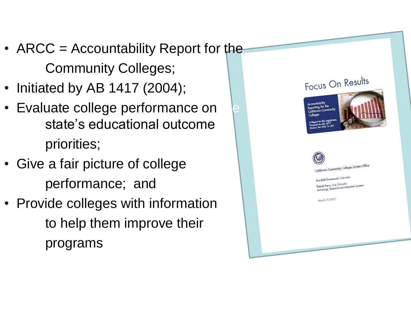- ARCC = Accountability Report for the Community Colleges;
- Initiated by AB 1417 (2004);
- Evaluate college performance on state's educational outcome priorities;
- Give a fair picture of college performance; and
- Provide colleges with information to help them improve their programs

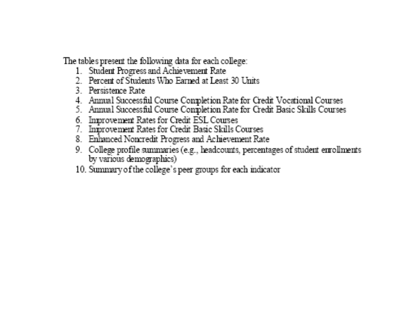The tables present the following data for each college:

- 1. Student Progress and Achievement Rate
- 2 Percent of Students Who Earned at Least 30 Units
- 3. Persistence Rate
- 4. Annual Successful Course Completion Rate for Credit Vocational Courses
- 5. Annual Successful Course Completion Rate for Credit Basic Skills Courses
- 6. Improvement Rates for Credit ESL Courses
- 7 Inforcement Rates for Credit Basic Skills Courses
- 8. Enhanced Noncredit Progress and Achievement Rate
- 9. College profile summaries (e.g., headcounts, percentages of student emollments by various demographics)
- 10. Summary of the college's peer groups for each indicator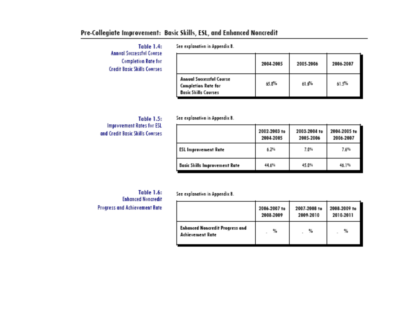### Pre-Collegiate Improvement: Basic Skills, ESL, and Enhanced Noncredit

Table 1.4: **Annual Successful Course Completion Rate for Credit Basic Skills Courses** 

See explanation in Appendix B.

|                                                                                              | 2004-2005 | 2005.2006 | 2006-2007 |
|----------------------------------------------------------------------------------------------|-----------|-----------|-----------|
| <b>Annual Successful Course</b><br><b>Completion Rate for</b><br><b>Basic Skills Courses</b> | 65.8%     | 61.6%     | 61.5%     |

See explanation in Appendix B.

Table 1.5: **Improvement Rates for ESL** and Credit Basic Skills Courses

|                                      | 2002-2003 to<br>2004-2005 | 2003-2004 to<br>2005.2006 | 2004-2005 to<br>2006-2007 |
|--------------------------------------|---------------------------|---------------------------|---------------------------|
| <b>ESL Improvement Rate</b>          | 4.2%                      | 7.0%                      | 7.6%                      |
| <b>Basic Skills Improvement Rate</b> | 他的                        | 45.0%                     | 66.I%                     |

Table 1.6: **Enhanced Noncredit Progress and Achievement Rate** 

See explanation in Appendix B.

|                                                                   | 2006-2007 to | 2007-2008 to | 2008-2009 to |
|-------------------------------------------------------------------|--------------|--------------|--------------|
|                                                                   | 2008-2009    | 2009.2010    | 2010-2011    |
| <b>Enhanced Noncredit Progress and</b><br><b>Achievement Rute</b> | 骺<br>m.      | 製            | 瓢            |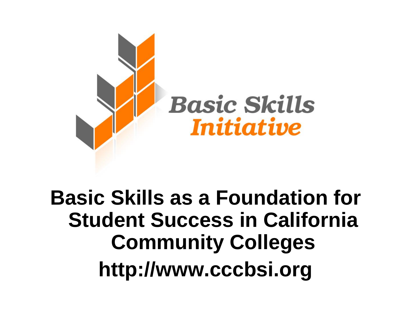

## **Basic Skills as a Foundation for Student Success in California Community Colleges http://www.cccbsi.org**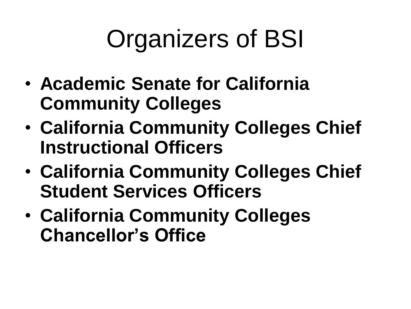# Organizers of BSI

- **Academic Senate for California Community Colleges**
- **California Community Colleges Chief Instructional Officers**
- **California Community Colleges Chief Student Services Officers**
- **California Community Colleges Chancellor's Office**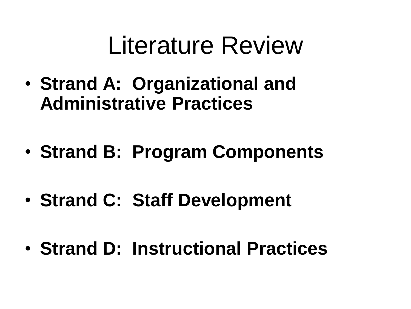# Literature Review

- **Strand A: Organizational and Administrative Practices**
- **Strand B: Program Components**
- **Strand C: Staff Development**
- **Strand D: Instructional Practices**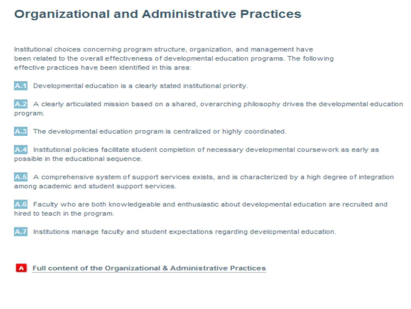### **Organizational and Administrative Practices**

Institutional choices concerning program structure, organization, and management have been related to the overall effectiveness of developmental education programs. The following effective practices have been identified in this area:

Developmental education is a clearly stated institutional priority.

A clearly articulated mission based on a shared, overarching philosophy drives the developmental education program.

The developmental education program is centralized or highly coordinated.

Institutional policies facilitate student completion of necessary developmental coursework as early as possible in the educational sequence.

A comprehensive system of support services exists, and is characterized by a high degree of integration among academic and student support services.

Faculty who are both knowledgeable and enthusiastic about developmental education are recruited and  $A.6$ hired to teach in the program.

Institutions manage faculty and student expectations regarding developmental education.

### Full content of the Organizational & Administrative Practices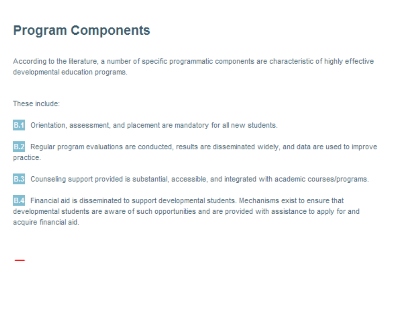### **Program Components**

According to the literature, a number of specific programmatic components are characteristic of highly effective developmental education programs.

These include:



Regular program evaluations are conducted, results are disseminated widely, and data are used to improve practice.

Counseling support provided is substantial, accessible, and integrated with academic courses/programs. B.3

Financial aid is disseminated to support developmental students. Mechanisms exist to ensure that developmental students are aware of such opportunities and are provided with assistance to apply for and acquire financial aid.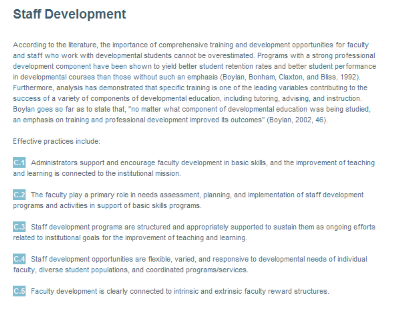### **Staff Development**

According to the literature, the importance of comprehensive training and development opportunities for faculty and staff who work with developmental students cannot be overestimated. Programs with a strong professional development component have been shown to yield better student retention rates and better student performance in developmental courses than those without such an emphasis (Boylan, Bonham, Claxton, and Bliss, 1992). Furthermore, analysis has demonstrated that specific training is one of the leading variables contributing to the success of a variety of components of developmental education, including tutoring, advising, and instruction. Boylan goes so far as to state that, "no matter what component of developmental education was being studied, an emphasis on training and professional development improved its outcomes" (Boylan, 2002, 46).

Effective practices include:

Administrators support and encourage faculty development in basic skills, and the improvement of teaching C.1 and learning is connected to the institutional mission.

The faculty play a primary role in needs assessment, planning, and implementation of staff development programs and activities in support of basic skills programs.

Staff development programs are structured and appropriately supported to sustain them as ongoing efforts related to institutional goals for the improvement of teaching and learning.

Staff development opportunities are flexible, varied, and responsive to developmental needs of individual faculty, diverse student populations, and coordinated programs/services.



Faculty development is clearly connected to intrinsic and extrinsic faculty reward structures.